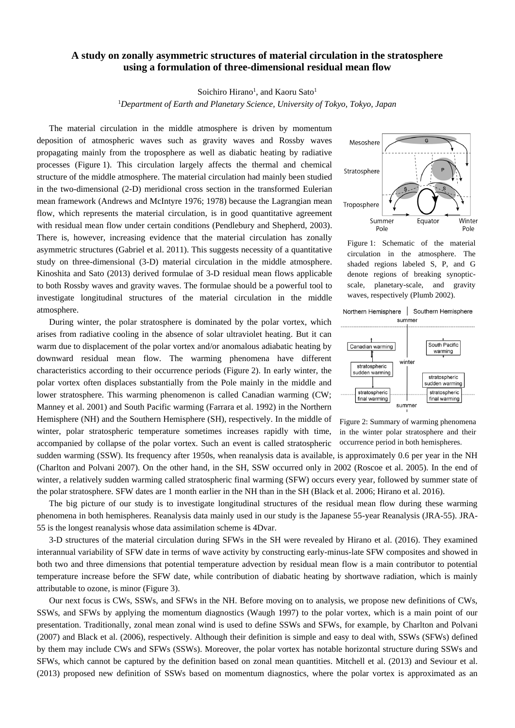## **A study on zonally asymmetric structures of material circulation in the stratosphere using a formulation of three-dimensional residual mean flow**

Soichiro Hirano<sup>1</sup>, and Kaoru Sato<sup>1</sup>

<sup>1</sup>*Department of Earth and Planetary Science, University of Tokyo, Tokyo, Japan*

The material circulation in the middle atmosphere is driven by momentum deposition of atmospheric waves such as gravity waves and Rossby waves propagating mainly from the troposphere as well as diabatic heating by radiative processes (Figure 1). This circulation largely affects the thermal and chemical structure of the middle atmosphere. The material circulation had mainly been studied in the two-dimensional (2-D) meridional cross section in the transformed Eulerian mean framework (Andrews and McIntyre 1976; 1978) because the Lagrangian mean flow, which represents the material circulation, is in good quantitative agreement with residual mean flow under certain conditions (Pendlebury and Shepherd, 2003). There is, however, increasing evidence that the material circulation has zonally asymmetric structures (Gabriel et al. 2011). This suggests necessity of a quantitative study on three-dimensional (3-D) material circulation in the middle atmosphere. Kinoshita and Sato (2013) derived formulae of 3-D residual mean flows applicable to both Rossby waves and gravity waves. The formulae should be a powerful tool to investigate longitudinal structures of the material circulation in the middle atmosphere.

During winter, the polar stratosphere is dominated by the polar vortex, which arises from radiative cooling in the absence of solar ultraviolet heating. But it can warm due to displacement of the polar vortex and/or anomalous adiabatic heating by downward residual mean flow. The warming phenomena have different characteristics according to their occurrence periods (Figure 2). In early winter, the polar vortex often displaces substantially from the Pole mainly in the middle and lower stratosphere. This warming phenomenon is called Canadian warming (CW; Manney et al. 2001) and South Pacific warming (Farrara et al. 1992) in the Northern Hemisphere (NH) and the Southern Hemisphere (SH), respectively. In the middle of winter, polar stratospheric temperature sometimes increases rapidly with time, accompanied by collapse of the polar vortex. Such an event is called stratospheric

Mesoshere Stratosphere Troposphere Winter Summer Equator Pole Pole

Figure 1: Schematic of the material circulation in the atmosphere. The shaded regions labeled S, P, and G denote regions of breaking synopticscale, planetary-scale, and gravity waves, respectively (Plumb 2002).



Figure 2: Summary of warming phenomena in the winter polar stratosphere and their occurrence period in both hemispheres.

sudden warming (SSW). Its frequency after 1950s, when reanalysis data is available, is approximately 0.6 per year in the NH (Charlton and Polvani 2007). On the other hand, in the SH, SSW occurred only in 2002 (Roscoe et al. 2005). In the end of winter, a relatively sudden warming called stratospheric final warming (SFW) occurs every year, followed by summer state of the polar stratosphere. SFW dates are 1 month earlier in the NH than in the SH (Black et al. 2006; Hirano et al. 2016).

The big picture of our study is to investigate longitudinal structures of the residual mean flow during these warming phenomena in both hemispheres. Reanalysis data mainly used in our study is the Japanese 55-year Reanalysis (JRA-55). JRA-55 is the longest reanalysis whose data assimilation scheme is 4Dvar.

3-D structures of the material circulation during SFWs in the SH were revealed by Hirano et al. (2016). They examined interannual variability of SFW date in terms of wave activity by constructing early-minus-late SFW composites and showed in both two and three dimensions that potential temperature advection by residual mean flow is a main contributor to potential temperature increase before the SFW date, while contribution of diabatic heating by shortwave radiation, which is mainly attributable to ozone, is minor (Figure 3).

Our next focus is CWs, SSWs, and SFWs in the NH. Before moving on to analysis, we propose new definitions of CWs, SSWs, and SFWs by applying the momentum diagnostics (Waugh 1997) to the polar vortex, which is a main point of our presentation. Traditionally, zonal mean zonal wind is used to define SSWs and SFWs, for example, by Charlton and Polvani (2007) and Black et al. (2006), respectively. Although their definition is simple and easy to deal with, SSWs (SFWs) defined by them may include CWs and SFWs (SSWs). Moreover, the polar vortex has notable horizontal structure during SSWs and SFWs, which cannot be captured by the definition based on zonal mean quantities. Mitchell et al. (2013) and Seviour et al. (2013) proposed new definition of SSWs based on momentum diagnostics, where the polar vortex is approximated as an